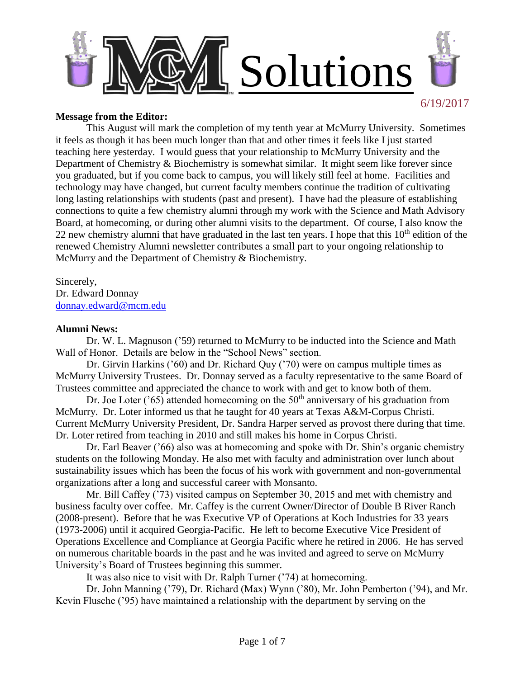

#### **Message from the Editor:**

This August will mark the completion of my tenth year at McMurry University. Sometimes it feels as though it has been much longer than that and other times it feels like I just started teaching here yesterday. I would guess that your relationship to McMurry University and the Department of Chemistry & Biochemistry is somewhat similar. It might seem like forever since you graduated, but if you come back to campus, you will likely still feel at home. Facilities and technology may have changed, but current faculty members continue the tradition of cultivating long lasting relationships with students (past and present). I have had the pleasure of establishing connections to quite a few chemistry alumni through my work with the Science and Math Advisory Board, at homecoming, or during other alumni visits to the department. Of course, I also know the 22 new chemistry alumni that have graduated in the last ten years. I hope that this  $10^{th}$  edition of the renewed Chemistry Alumni newsletter contributes a small part to your ongoing relationship to McMurry and the Department of Chemistry & Biochemistry.

Sincerely, Dr. Edward Donnay [donnay.edward@mcm.edu](mailto:donnay.edward@mcm.edu)

#### **Alumni News:**

Dr. W. L. Magnuson ('59) returned to McMurry to be inducted into the Science and Math Wall of Honor. Details are below in the "School News" section.

Dr. Girvin Harkins ('60) and Dr. Richard Quy ('70) were on campus multiple times as McMurry University Trustees. Dr. Donnay served as a faculty representative to the same Board of Trustees committee and appreciated the chance to work with and get to know both of them.

Dr. Joe Loter ( $\degree$ 65) attended homecoming on the 50<sup>th</sup> anniversary of his graduation from McMurry. Dr. Loter informed us that he taught for 40 years at Texas A&M-Corpus Christi. Current McMurry University President, Dr. Sandra Harper served as provost there during that time. Dr. Loter retired from teaching in 2010 and still makes his home in Corpus Christi.

Dr. Earl Beaver ('66) also was at homecoming and spoke with Dr. Shin's organic chemistry students on the following Monday. He also met with faculty and administration over lunch about sustainability issues which has been the focus of his work with government and non-governmental organizations after a long and successful career with Monsanto.

Mr. Bill Caffey ('73) visited campus on September 30, 2015 and met with chemistry and business faculty over coffee. Mr. Caffey is the current Owner/Director of Double B River Ranch (2008-present). Before that he was Executive VP of Operations at Koch Industries for 33 years (1973-2006) until it acquired Georgia-Pacific. He left to become Executive Vice President of Operations Excellence and Compliance at Georgia Pacific where he retired in 2006. He has served on numerous charitable boards in the past and he was invited and agreed to serve on McMurry University's Board of Trustees beginning this summer.

It was also nice to visit with Dr. Ralph Turner ('74) at homecoming.

Dr. John Manning ('79), Dr. Richard (Max) Wynn ('80), Mr. John Pemberton ('94), and Mr. Kevin Flusche ('95) have maintained a relationship with the department by serving on the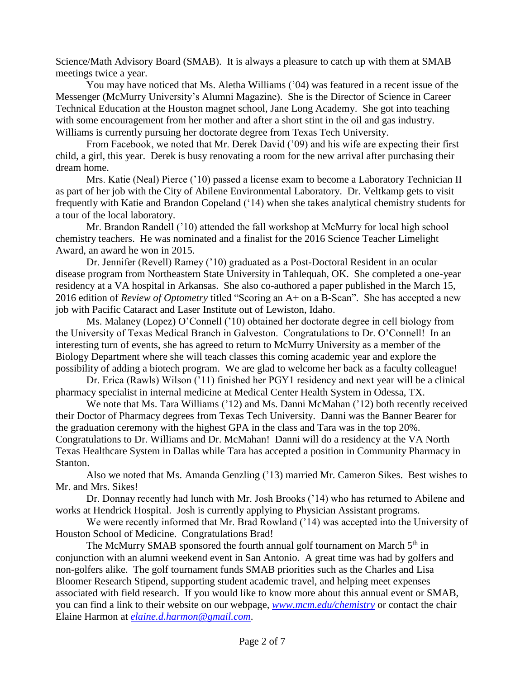Science/Math Advisory Board (SMAB). It is always a pleasure to catch up with them at SMAB meetings twice a year.

You may have noticed that Ms. Aletha Williams ('04) was featured in a recent issue of the Messenger (McMurry University's Alumni Magazine). She is the Director of Science in Career Technical Education at the Houston magnet school, Jane Long Academy. She got into teaching with some encouragement from her mother and after a short stint in the oil and gas industry. Williams is currently pursuing her doctorate degree from Texas Tech University.

From Facebook, we noted that Mr. Derek David ('09) and his wife are expecting their first child, a girl, this year. Derek is busy renovating a room for the new arrival after purchasing their dream home.

Mrs. Katie (Neal) Pierce ('10) passed a license exam to become a Laboratory Technician II as part of her job with the City of Abilene Environmental Laboratory. Dr. Veltkamp gets to visit frequently with Katie and Brandon Copeland ('14) when she takes analytical chemistry students for a tour of the local laboratory.

Mr. Brandon Randell ('10) attended the fall workshop at McMurry for local high school chemistry teachers. He was nominated and a finalist for the 2016 Science Teacher Limelight Award, an award he won in 2015.

Dr. Jennifer (Revell) Ramey ('10) graduated as a Post-Doctoral Resident in an ocular disease program from Northeastern State University in Tahlequah, OK. She completed a one-year residency at a VA hospital in Arkansas. She also co-authored a paper published in the March 15, 2016 edition of *Review of Optometry* titled "Scoring an A+ on a B-Scan". She has accepted a new job with Pacific Cataract and Laser Institute out of Lewiston, Idaho.

Ms. Malaney (Lopez) O'Connell ('10) obtained her doctorate degree in cell biology from the University of Texas Medical Branch in Galveston. Congratulations to Dr. O'Connell! In an interesting turn of events, she has agreed to return to McMurry University as a member of the Biology Department where she will teach classes this coming academic year and explore the possibility of adding a biotech program. We are glad to welcome her back as a faculty colleague!

Dr. Erica (Rawls) Wilson ('11) finished her PGY1 residency and next year will be a clinical pharmacy specialist in internal medicine at Medical Center Health System in Odessa, TX.

We note that Ms. Tara Williams ('12) and Ms. Danni McMahan ('12) both recently received their Doctor of Pharmacy degrees from Texas Tech University. Danni was the Banner Bearer for the graduation ceremony with the highest GPA in the class and Tara was in the top 20%. Congratulations to Dr. Williams and Dr. McMahan! Danni will do a residency at the VA North Texas Healthcare System in Dallas while Tara has accepted a position in Community Pharmacy in Stanton.

Also we noted that Ms. Amanda Genzling ('13) married Mr. Cameron Sikes. Best wishes to Mr. and Mrs. Sikes!

Dr. Donnay recently had lunch with Mr. Josh Brooks ('14) who has returned to Abilene and works at Hendrick Hospital. Josh is currently applying to Physician Assistant programs.

We were recently informed that Mr. Brad Rowland ('14) was accepted into the University of Houston School of Medicine. Congratulations Brad!

The McMurry SMAB sponsored the fourth annual golf tournament on March  $5<sup>th</sup>$  in conjunction with an alumni weekend event in San Antonio. A great time was had by golfers and non-golfers alike. The golf tournament funds SMAB priorities such as the Charles and Lisa Bloomer Research Stipend, supporting student academic travel, and helping meet expenses associated with field research. If you would like to know more about this annual event or SMAB, you can find a link to their website on our webpage, *[www.mcm.edu/chemistry](http://www.mcm.edu/chemistry)* or contact the chair Elaine Harmon at *[elaine.d.harmon@gmail.com](mailto:elaine.d.harmon@gmail.com)*.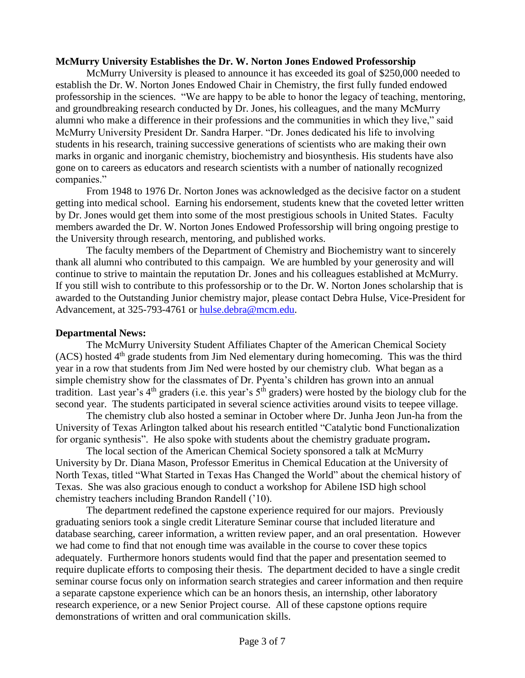# **McMurry University Establishes the Dr. W. Norton Jones Endowed Professorship**

McMurry University is pleased to announce it has exceeded its goal of \$250,000 needed to establish the Dr. W. Norton Jones Endowed Chair in Chemistry, the first fully funded endowed professorship in the sciences. "We are happy to be able to honor the legacy of teaching, mentoring, and groundbreaking research conducted by Dr. Jones, his colleagues, and the many McMurry alumni who make a difference in their professions and the communities in which they live," said McMurry University President Dr. Sandra Harper. "Dr. Jones dedicated his life to involving students in his research, training successive generations of scientists who are making their own marks in organic and inorganic chemistry, biochemistry and biosynthesis. His students have also gone on to careers as educators and research scientists with a number of nationally recognized companies."

From 1948 to 1976 Dr. Norton Jones was acknowledged as the decisive factor on a student getting into medical school. Earning his endorsement, students knew that the coveted letter written by Dr. Jones would get them into some of the most prestigious schools in United States. Faculty members awarded the Dr. W. Norton Jones Endowed Professorship will bring ongoing prestige to the University through research, mentoring, and published works.

The faculty members of the Department of Chemistry and Biochemistry want to sincerely thank all alumni who contributed to this campaign. We are humbled by your generosity and will continue to strive to maintain the reputation Dr. Jones and his colleagues established at McMurry. If you still wish to contribute to this professorship or to the Dr. W. Norton Jones scholarship that is awarded to the Outstanding Junior chemistry major, please contact Debra Hulse, Vice-President for Advancement, at 325-793-4761 or [hulse.debra@mcm.edu.](mailto:hulse.debra@mcm.edu)

## **Departmental News:**

The McMurry University Student Affiliates Chapter of the American Chemical Society  $(ACS)$  hosted  $4<sup>th</sup>$  grade students from Jim Ned elementary during homecoming. This was the third year in a row that students from Jim Ned were hosted by our chemistry club. What began as a simple chemistry show for the classmates of Dr. Pyenta's children has grown into an annual tradition. Last year's  $4<sup>th</sup>$  graders (i.e. this year's  $5<sup>th</sup>$  graders) were hosted by the biology club for the second year. The students participated in several science activities around visits to teepee village.

The chemistry club also hosted a seminar in October where Dr. Junha Jeon Jun-ha from the University of Texas Arlington talked about his research entitled "Catalytic bond Functionalization for organic synthesis". He also spoke with students about the chemistry graduate program**.**

The local section of the American Chemical Society sponsored a talk at McMurry University by Dr. Diana Mason, Professor Emeritus in Chemical Education at the University of North Texas, titled "What Started in Texas Has Changed the World" about the chemical history of Texas. She was also gracious enough to conduct a workshop for Abilene ISD high school chemistry teachers including Brandon Randell ('10).

The department redefined the capstone experience required for our majors. Previously graduating seniors took a single credit Literature Seminar course that included literature and database searching, career information, a written review paper, and an oral presentation. However we had come to find that not enough time was available in the course to cover these topics adequately. Furthermore honors students would find that the paper and presentation seemed to require duplicate efforts to composing their thesis. The department decided to have a single credit seminar course focus only on information search strategies and career information and then require a separate capstone experience which can be an honors thesis, an internship, other laboratory research experience, or a new Senior Project course. All of these capstone options require demonstrations of written and oral communication skills.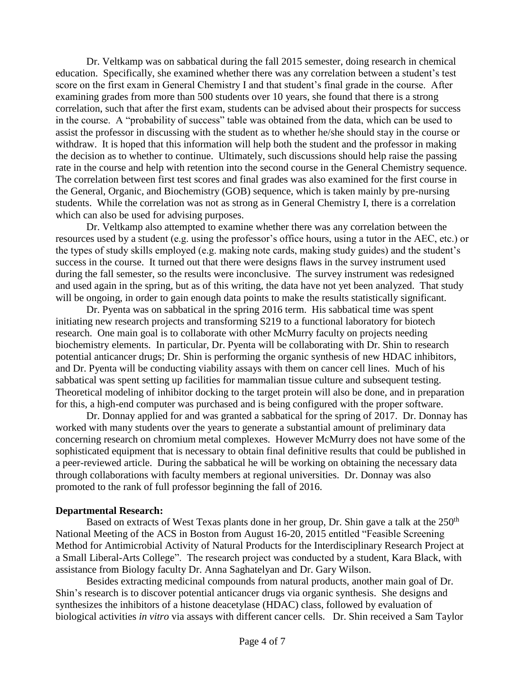Dr. Veltkamp was on sabbatical during the fall 2015 semester, doing research in chemical education. Specifically, she examined whether there was any correlation between a student's test score on the first exam in General Chemistry I and that student's final grade in the course. After examining grades from more than 500 students over 10 years, she found that there is a strong correlation, such that after the first exam, students can be advised about their prospects for success in the course. A "probability of success" table was obtained from the data, which can be used to assist the professor in discussing with the student as to whether he/she should stay in the course or withdraw. It is hoped that this information will help both the student and the professor in making the decision as to whether to continue. Ultimately, such discussions should help raise the passing rate in the course and help with retention into the second course in the General Chemistry sequence. The correlation between first test scores and final grades was also examined for the first course in the General, Organic, and Biochemistry (GOB) sequence, which is taken mainly by pre-nursing students. While the correlation was not as strong as in General Chemistry I, there is a correlation which can also be used for advising purposes.

Dr. Veltkamp also attempted to examine whether there was any correlation between the resources used by a student (e.g. using the professor's office hours, using a tutor in the AEC, etc.) or the types of study skills employed (e.g. making note cards, making study guides) and the student's success in the course. It turned out that there were designs flaws in the survey instrument used during the fall semester, so the results were inconclusive. The survey instrument was redesigned and used again in the spring, but as of this writing, the data have not yet been analyzed. That study will be ongoing, in order to gain enough data points to make the results statistically significant.

Dr. Pyenta was on sabbatical in the spring 2016 term. His sabbatical time was spent initiating new research projects and transforming S219 to a functional laboratory for biotech research. One main goal is to collaborate with other McMurry faculty on projects needing biochemistry elements. In particular, Dr. Pyenta will be collaborating with Dr. Shin to research potential anticancer drugs; Dr. Shin is performing the organic synthesis of new HDAC inhibitors, and Dr. Pyenta will be conducting viability assays with them on cancer cell lines. Much of his sabbatical was spent setting up facilities for mammalian tissue culture and subsequent testing. Theoretical modeling of inhibitor docking to the target protein will also be done, and in preparation for this, a high-end computer was purchased and is being configured with the proper software.

Dr. Donnay applied for and was granted a sabbatical for the spring of 2017. Dr. Donnay has worked with many students over the years to generate a substantial amount of preliminary data concerning research on chromium metal complexes. However McMurry does not have some of the sophisticated equipment that is necessary to obtain final definitive results that could be published in a peer-reviewed article. During the sabbatical he will be working on obtaining the necessary data through collaborations with faculty members at regional universities. Dr. Donnay was also promoted to the rank of full professor beginning the fall of 2016.

#### **Departmental Research:**

Based on extracts of West Texas plants done in her group, Dr. Shin gave a talk at the 250<sup>th</sup> National Meeting of the ACS in Boston from August 16-20, 2015 entitled "Feasible Screening Method for Antimicrobial Activity of Natural Products for the Interdisciplinary Research Project at a Small Liberal-Arts College". The research project was conducted by a student, Kara Black, with assistance from Biology faculty Dr. Anna Saghatelyan and Dr. Gary Wilson.

Besides extracting medicinal compounds from natural products, another main goal of Dr. Shin's research is to discover potential anticancer drugs via organic synthesis. She designs and synthesizes the inhibitors of a histone deacetylase (HDAC) class, followed by evaluation of biological activities *in vitro* via assays with different cancer cells. Dr. Shin received a Sam Taylor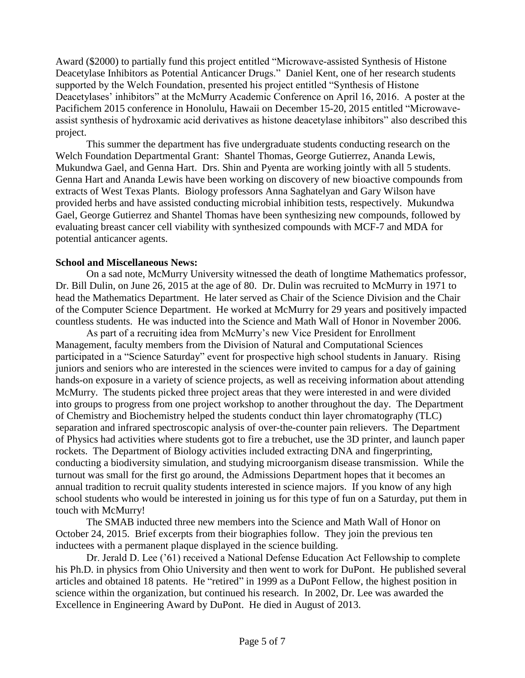Award (\$2000) to partially fund this project entitled "Microwave-assisted Synthesis of Histone Deacetylase Inhibitors as Potential Anticancer Drugs." Daniel Kent, one of her research students supported by the Welch Foundation, presented his project entitled "Synthesis of Histone Deacetylases' inhibitors" at the McMurry Academic Conference on April 16, 2016. A poster at the Pacifichem 2015 conference in Honolulu, Hawaii on December 15-20, 2015 entitled "Microwaveassist synthesis of hydroxamic acid derivatives as histone deacetylase inhibitors" also described this project.

This summer the department has five undergraduate students conducting research on the Welch Foundation Departmental Grant: Shantel Thomas, George Gutierrez, Ananda Lewis, Mukundwa Gael, and Genna Hart. Drs. Shin and Pyenta are working jointly with all 5 students. Genna Hart and Ananda Lewis have been working on discovery of new bioactive compounds from extracts of West Texas Plants. Biology professors Anna Saghatelyan and Gary Wilson have provided herbs and have assisted conducting microbial inhibition tests, respectively. Mukundwa Gael, George Gutierrez and Shantel Thomas have been synthesizing new compounds, followed by evaluating breast cancer cell viability with synthesized compounds with MCF-7 and MDA for potential anticancer agents.

## **School and Miscellaneous News:**

On a sad note, McMurry University witnessed the death of longtime Mathematics professor, Dr. Bill Dulin, on June 26, 2015 at the age of 80. Dr. Dulin was recruited to McMurry in 1971 to head the Mathematics Department. He later served as Chair of the Science Division and the Chair of the Computer Science Department. He worked at McMurry for 29 years and positively impacted countless students. He was inducted into the Science and Math Wall of Honor in November 2006.

As part of a recruiting idea from McMurry's new Vice President for Enrollment Management, faculty members from the Division of Natural and Computational Sciences participated in a "Science Saturday" event for prospective high school students in January. Rising juniors and seniors who are interested in the sciences were invited to campus for a day of gaining hands-on exposure in a variety of science projects, as well as receiving information about attending McMurry. The students picked three project areas that they were interested in and were divided into groups to progress from one project workshop to another throughout the day. The Department of Chemistry and Biochemistry helped the students conduct thin layer chromatography (TLC) separation and infrared spectroscopic analysis of over-the-counter pain relievers. The Department of Physics had activities where students got to fire a trebuchet, use the 3D printer, and launch paper rockets. The Department of Biology activities included extracting DNA and fingerprinting, conducting a biodiversity simulation, and studying microorganism disease transmission. While the turnout was small for the first go around, the Admissions Department hopes that it becomes an annual tradition to recruit quality students interested in science majors. If you know of any high school students who would be interested in joining us for this type of fun on a Saturday, put them in touch with McMurry!

The SMAB inducted three new members into the Science and Math Wall of Honor on October 24, 2015. Brief excerpts from their biographies follow. They join the previous ten inductees with a permanent plaque displayed in the science building.

Dr. Jerald D. Lee ('61) received a National Defense Education Act Fellowship to complete his Ph.D. in physics from Ohio University and then went to work for DuPont. He published several articles and obtained 18 patents. He "retired" in 1999 as a DuPont Fellow, the highest position in science within the organization, but continued his research. In 2002, Dr. Lee was awarded the Excellence in Engineering Award by DuPont. He died in August of 2013.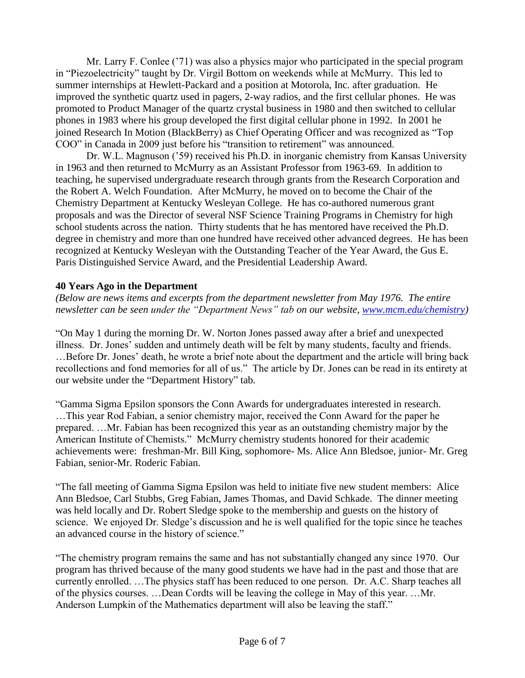Mr. Larry F. Conlee ('71) was also a physics major who participated in the special program in "Piezoelectricity" taught by Dr. Virgil Bottom on weekends while at McMurry. This led to summer internships at Hewlett-Packard and a position at Motorola, Inc. after graduation. He improved the synthetic quartz used in pagers, 2-way radios, and the first cellular phones. He was promoted to Product Manager of the quartz crystal business in 1980 and then switched to cellular phones in 1983 where his group developed the first digital cellular phone in 1992. In 2001 he joined Research In Motion (BlackBerry) as Chief Operating Officer and was recognized as "Top COO" in Canada in 2009 just before his "transition to retirement" was announced.

Dr. W.L. Magnuson ('59) received his Ph.D. in inorganic chemistry from Kansas University in 1963 and then returned to McMurry as an Assistant Professor from 1963-69. In addition to teaching, he supervised undergraduate research through grants from the Research Corporation and the Robert A. Welch Foundation. After McMurry, he moved on to become the Chair of the Chemistry Department at Kentucky Wesleyan College. He has co-authored numerous grant proposals and was the Director of several NSF Science Training Programs in Chemistry for high school students across the nation. Thirty students that he has mentored have received the Ph.D. degree in chemistry and more than one hundred have received other advanced degrees. He has been recognized at Kentucky Wesleyan with the Outstanding Teacher of the Year Award, the Gus E. Paris Distinguished Service Award, and the Presidential Leadership Award.

# **40 Years Ago in the Department**

*(Below are news items and excerpts from the department newsletter from May 1976. The entire newsletter can be seen under the "Department News" tab on our website, [www.mcm.edu/chemistry\)](http://www.mcm.edu/chemistry)*

"On May 1 during the morning Dr. W. Norton Jones passed away after a brief and unexpected illness. Dr. Jones' sudden and untimely death will be felt by many students, faculty and friends. …Before Dr. Jones' death, he wrote a brief note about the department and the article will bring back recollections and fond memories for all of us." The article by Dr. Jones can be read in its entirety at our website under the "Department History" tab.

"Gamma Sigma Epsilon sponsors the Conn Awards for undergraduates interested in research. …This year Rod Fabian, a senior chemistry major, received the Conn Award for the paper he prepared. …Mr. Fabian has been recognized this year as an outstanding chemistry major by the American Institute of Chemists." McMurry chemistry students honored for their academic achievements were: freshman-Mr. Bill King, sophomore- Ms. Alice Ann Bledsoe, junior- Mr. Greg Fabian, senior-Mr. Roderic Fabian.

"The fall meeting of Gamma Sigma Epsilon was held to initiate five new student members: Alice Ann Bledsoe, Carl Stubbs, Greg Fabian, James Thomas, and David Schkade. The dinner meeting was held locally and Dr. Robert Sledge spoke to the membership and guests on the history of science. We enjoyed Dr. Sledge's discussion and he is well qualified for the topic since he teaches an advanced course in the history of science."

"The chemistry program remains the same and has not substantially changed any since 1970. Our program has thrived because of the many good students we have had in the past and those that are currently enrolled. …The physics staff has been reduced to one person. Dr. A.C. Sharp teaches all of the physics courses. …Dean Cordts will be leaving the college in May of this year. …Mr. Anderson Lumpkin of the Mathematics department will also be leaving the staff."